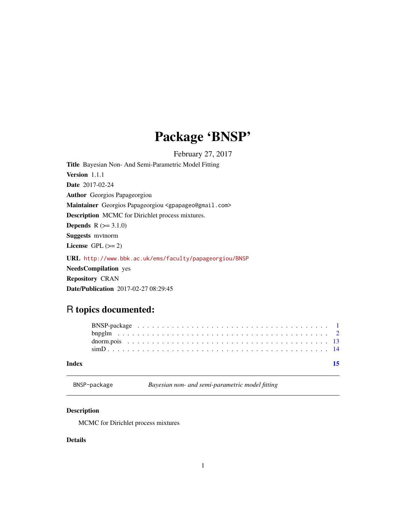## Package 'BNSP'

February 27, 2017

<span id="page-0-0"></span>Title Bayesian Non- And Semi-Parametric Model Fitting Version 1.1.1 Date 2017-02-24 Author Georgios Papageorgiou Maintainer Georgios Papageorgiou <gpapageo@gmail.com> Description MCMC for Dirichlet process mixtures. **Depends**  $R (= 3.1.0)$ Suggests mvtnorm License GPL  $(>= 2)$ URL <http://www.bbk.ac.uk/ems/faculty/papageorgiou/BNSP> NeedsCompilation yes Repository CRAN Date/Publication 2017-02-27 08:29:45

### R topics documented:

| Index |  |  |  |  |  |  |  |  |  |  |  |  |  |  |  |  |  |  |  |
|-------|--|--|--|--|--|--|--|--|--|--|--|--|--|--|--|--|--|--|--|
|       |  |  |  |  |  |  |  |  |  |  |  |  |  |  |  |  |  |  |  |
|       |  |  |  |  |  |  |  |  |  |  |  |  |  |  |  |  |  |  |  |
|       |  |  |  |  |  |  |  |  |  |  |  |  |  |  |  |  |  |  |  |
|       |  |  |  |  |  |  |  |  |  |  |  |  |  |  |  |  |  |  |  |

BNSP-package *Bayesian non- and semi-parametric model fitting*

#### Description

MCMC for Dirichlet process mixtures

#### Details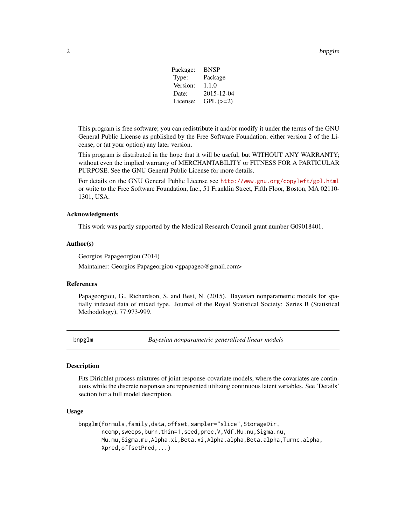Package: BNSP Type: Package Version: 1.1.0 Date: 2015-12-04 License: GPL  $(>=2)$ 

<span id="page-1-0"></span>This program is free software; you can redistribute it and/or modify it under the terms of the GNU General Public License as published by the Free Software Foundation; either version 2 of the License, or (at your option) any later version.

This program is distributed in the hope that it will be useful, but WITHOUT ANY WARRANTY; without even the implied warranty of MERCHANTABILITY or FITNESS FOR A PARTICULAR PURPOSE. See the GNU General Public License for more details.

For details on the GNU General Public License see <http://www.gnu.org/copyleft/gpl.html> or write to the Free Software Foundation, Inc., 51 Franklin Street, Fifth Floor, Boston, MA 02110- 1301, USA.

#### Acknowledgments

This work was partly supported by the Medical Research Council grant number G09018401.

#### Author(s)

Georgios Papageorgiou (2014)

Maintainer: Georgios Papageorgiou <gpapageo@gmail.com>

#### References

Papageorgiou, G., Richardson, S. and Best, N. (2015). Bayesian nonparametric models for spatially indexed data of mixed type. Journal of the Royal Statistical Society: Series B (Statistical Methodology), 77:973-999.

bnpglm *Bayesian nonparametric generalized linear models*

#### Description

Fits Dirichlet process mixtures of joint response-covariate models, where the covariates are continuous while the discrete responses are represented utilizing continuous latent variables. See 'Details' section for a full model description.

#### Usage

```
bnpglm(formula,family,data,offset,sampler="slice",StorageDir,
       ncomp,sweeps,burn,thin=1,seed,prec,V,Vdf,Mu.nu,Sigma.nu,
       Mu.mu,Sigma.mu,Alpha.xi,Beta.xi,Alpha.alpha,Beta.alpha,Turnc.alpha,
       Xpred,offsetPred,...)
```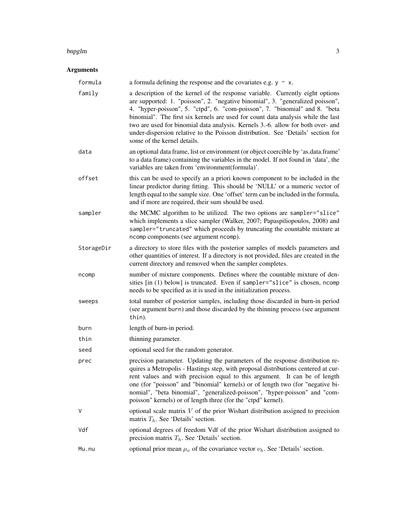#### Arguments

| formula    | a formula defining the response and the covariates e.g. $y \sim x$ .                                                                                                                                                                                                                                                                                                                                                                                                                                                                     |
|------------|------------------------------------------------------------------------------------------------------------------------------------------------------------------------------------------------------------------------------------------------------------------------------------------------------------------------------------------------------------------------------------------------------------------------------------------------------------------------------------------------------------------------------------------|
| family     | a description of the kernel of the response variable. Currently eight options<br>are supported: 1. "poisson", 2. "negative binomial", 3. "generalized poisson",<br>4. "hyper-poisson", 5. "ctpd", 6. "com-poisson", 7. "binomial" and 8. "beta<br>binomial". The first six kernels are used for count data analysis while the last<br>two are used for binomial data analysis. Kernels 3.-6. allow for both over- and<br>under-dispersion relative to the Poisson distribution. See 'Details' section for<br>some of the kernel details. |
| data       | an optional data frame, list or environment (or object coercible by 'as.data.frame'<br>to a data frame) containing the variables in the model. If not found in 'data', the<br>variables are taken from 'environment(formula)'.                                                                                                                                                                                                                                                                                                           |
| offset     | this can be used to specify an a priori known component to be included in the<br>linear predictor during fitting. This should be 'NULL' or a numeric vector of<br>length equal to the sample size. One 'offset' term can be included in the formula,<br>and if more are required, their sum should be used.                                                                                                                                                                                                                              |
| sampler    | the MCMC algorithm to be utilized. The two options are sampler="slice"<br>which implements a slice sampler (Walker, 2007; Papaspiliopoulos, 2008) and<br>sampler="truncated" which proceeds by truncating the countable mixture at<br>ncomp components (see argument ncomp).                                                                                                                                                                                                                                                             |
| StorageDir | a directory to store files with the posterior samples of models parameters and<br>other quantities of interest. If a directory is not provided, files are created in the<br>current directory and removed when the sampler completes.                                                                                                                                                                                                                                                                                                    |
| ncomp      | number of mixture components. Defines where the countable mixture of den-<br>sities [in (1) below] is truncated. Even if sampler="slice" is chosen, ncomp<br>needs to be specified as it is used in the initialization process.                                                                                                                                                                                                                                                                                                          |
| sweeps     | total number of posterior samples, including those discarded in burn-in period<br>(see argument burn) and those discarded by the thinning process (see argument<br>thin).                                                                                                                                                                                                                                                                                                                                                                |
| burn       | length of burn-in period.                                                                                                                                                                                                                                                                                                                                                                                                                                                                                                                |
| thin       | thinning parameter.                                                                                                                                                                                                                                                                                                                                                                                                                                                                                                                      |
| seed       | optional seed for the random generator.                                                                                                                                                                                                                                                                                                                                                                                                                                                                                                  |
| prec       | precision parameter. Updating the parameters of the response distribution re-<br>quires a Metropolis - Hastings step, with proposal distributions centered at cur-<br>rent values and with precision equal to this argument. It can be of length<br>one (for "poisson" and "binomial" kernels) or of length two (for "negative bi-<br>nomial", "beta binomial", "generalized-poisson", "hyper-poisson" and "com-<br>poisson" kernels) or of length three (for the "ctpd" kernel).                                                        |
| V          | optional scale matrix $V$ of the prior Wishart distribution assigned to precision<br>matrix $T_h$ . See 'Details' section.                                                                                                                                                                                                                                                                                                                                                                                                               |
| Vdf        | optional degrees of freedom Vdf of the prior Wishart distribution assigned to<br>precision matrix $T_h$ . See 'Details' section.                                                                                                                                                                                                                                                                                                                                                                                                         |
| Mu.nu      | optional prior mean $\mu_{\nu}$ of the covariance vector $\nu_h$ . See 'Details' section.                                                                                                                                                                                                                                                                                                                                                                                                                                                |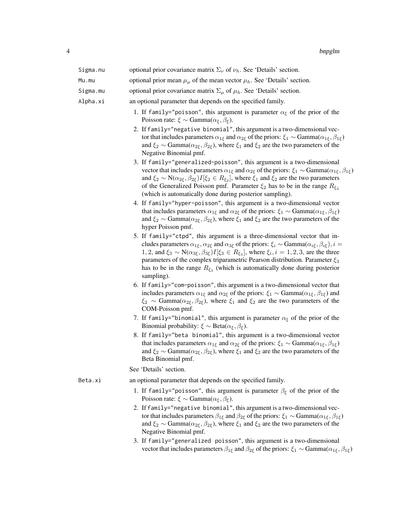| Sigma.nu | optional prior covariance matrix $\Sigma_{\nu}$ of $\nu_h$ . See 'Details' section.                                                                                                                                                                                                                                                                                                                                                                                                                                                           |
|----------|-----------------------------------------------------------------------------------------------------------------------------------------------------------------------------------------------------------------------------------------------------------------------------------------------------------------------------------------------------------------------------------------------------------------------------------------------------------------------------------------------------------------------------------------------|
| Mu.mu    | optional prior mean $\mu_{\mu}$ of the mean vector $\mu_{h}$ . See 'Details' section.                                                                                                                                                                                                                                                                                                                                                                                                                                                         |
| Sigma.mu | optional prior covariance matrix $\Sigma_{\mu}$ of $\mu_h$ . See 'Details' section.                                                                                                                                                                                                                                                                                                                                                                                                                                                           |
| Alpha.xi | an optional parameter that depends on the specified family.                                                                                                                                                                                                                                                                                                                                                                                                                                                                                   |
|          | 1. If family="poisson", this argument is parameter $\alpha_{\xi}$ of the prior of the<br>Poisson rate: $\xi \sim \text{Gamma}(\alpha_{\xi}, \beta_{\xi}).$<br>2. If family="negative binomial", this argument is a two-dimensional vec-<br>tor that includes parameters $\alpha_{1\xi}$ and $\alpha_{2\xi}$ of the priors: $\xi_1 \sim \text{Gamma}(\alpha_{1\xi}, \beta_{1\xi})$<br>and $\xi_2 \sim \text{Gamma}(\alpha_{2\xi}, \beta_{2\xi})$ , where $\xi_1$ and $\xi_2$ are the two parameters of the<br>Negative Binomial pmf.           |
|          | 3. If family="generalized-poisson", this argument is a two-dimensional<br>vector that includes parameters $\alpha_{1\xi}$ and $\alpha_{2\xi}$ of the priors: $\xi_1 \sim \text{Gamma}(\alpha_{1\xi}, \beta_{1\xi})$<br>and $\xi_2 \sim N(\alpha_{2\xi}, \beta_{2\xi})I[\xi_2 \in R_{\xi_2}]$ , where $\xi_1$ and $\xi_2$ are the two parameters<br>of the Generalized Poisson pmf. Parameter $\xi_2$ has to be in the range $R_{\xi_2}$<br>(which is automatically done during posterior sampling).                                           |
|          | 4. If family="hyper-poisson", this argument is a two-dimensional vector<br>that includes parameters $\alpha_{1\xi}$ and $\alpha_{2\xi}$ of the priors: $\xi_1 \sim \text{Gamma}(\alpha_{1\xi}, \beta_{1\xi})$<br>and $\xi_2 \sim \text{Gamma}(\alpha_{2\xi}, \beta_{2\xi})$ , where $\xi_1$ and $\xi_2$ are the two parameters of the<br>hyper Poisson pmf.                                                                                                                                                                                   |
|          | 5. If family="ctpd", this argument is a three-dimensional vector that in-<br>cludes parameters $\alpha_{1\xi}, \alpha_{2\xi}$ and $\alpha_{3\xi}$ of the priors: $\xi_i \sim \text{Gamma}(\alpha_{i\xi}, \beta_{i\xi}), i =$<br>1, 2, and $\xi_3 \sim N(\alpha_{3\xi}, \beta_{3\xi})I[\xi_3 \in R_{\xi_3}]$ , where $\xi_i, i = 1, 2, 3$ , are the three<br>parameters of the complex triparametric Pearson distribution. Parameter $\xi_3$<br>has to be in the range $R_{\xi_3}$ (which is automatically done during posterior<br>sampling). |
|          | 6. If family="com-poisson", this argument is a two-dimensional vector that<br>includes parameters $\alpha_{1\xi}$ and $\alpha_{2\xi}$ of the priors: $\xi_1 \sim \text{Gamma}(\alpha_{1\xi}, \beta_{1\xi})$ and<br>$\xi_2 \sim \text{Gamma}(\alpha_{2\xi}, \beta_{2\xi})$ , where $\xi_1$ and $\xi_2$ are the two parameters of the<br>COM-Poisson pmf.                                                                                                                                                                                       |
|          | 7. If family="binomial", this argument is parameter $\alpha_{\xi}$ of the prior of the<br>Binomial probability: $\xi \sim \text{Beta}(\alpha_{\xi}, \beta_{\xi}).$                                                                                                                                                                                                                                                                                                                                                                            |
|          | 8. If family="beta binomial", this argument is a two-dimensional vector<br>that includes parameters $\alpha_{1\xi}$ and $\alpha_{2\xi}$ of the priors: $\xi_1 \sim \text{Gamma}(\alpha_{1\xi}, \beta_{1\xi})$<br>and $\xi_2 \sim \text{Gamma}(\alpha_{2\xi}, \beta_{2\xi})$ , where $\xi_1$ and $\xi_2$ are the two parameters of the<br>Beta Binomial pmf.                                                                                                                                                                                   |
|          | See 'Details' section.                                                                                                                                                                                                                                                                                                                                                                                                                                                                                                                        |
| Beta.xi  | an optional parameter that depends on the specified family.                                                                                                                                                                                                                                                                                                                                                                                                                                                                                   |
|          | 1. If family="poisson", this argument is parameter $\beta_{\xi}$ of the prior of the<br>Poisson rate: $\xi \sim \text{Gamma}(\alpha_{\xi}, \beta_{\xi}).$<br>2. If family="negative binomial", this argument is a two-dimensional vec-<br>tor that includes parameters $\beta_{1\xi}$ and $\beta_{2\xi}$ of the priors: $\xi_1 \sim \text{Gamma}(\alpha_{1\xi}, \beta_{1\xi})$<br>and $\xi_2 \sim \text{Gamma}(\alpha_{2\xi}, \beta_{2\xi})$ , where $\xi_1$ and $\xi_2$ are the two parameters of the                                        |
|          | Negative Binomial pmf.<br>3. If family="generalized poisson" this argument is a two-dimensional                                                                                                                                                                                                                                                                                                                                                                                                                                               |

3. If family="generalized poisson", this argument is a two-dimensional vector that includes parameters  $\beta_{1\xi}$  and  $\beta_{2\xi}$  of the priors:  $\xi_1 \sim \text{Gamma}(\alpha_{1\xi}, \beta_{1\xi})$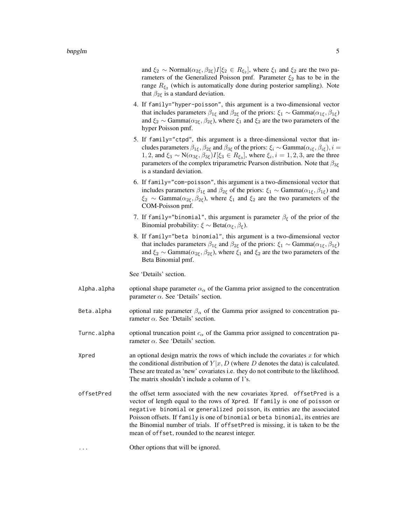and  $\xi_2 \sim \text{Normal}(\alpha_{2\xi}, \beta_{2\xi}) I[\xi_2 \in R_{\xi_2}]$ , where  $\xi_1$  and  $\xi_2$  are the two parameters of the Generalized Poisson pmf. Parameter  $\xi_2$  has to be in the range  $R_{\xi_2}$  (which is automatically done during posterior sampling). Note that  $\beta_{2\xi}$  is a standard deviation.

- 4. If family="hyper-poisson", this argument is a two-dimensional vector that includes parameters  $\beta_{1\xi}$  and  $\beta_{2\xi}$  of the priors:  $\xi_1 \sim \text{Gamma}(\alpha_{1\xi}, \beta_{1\xi})$ and  $\xi_2 \sim \text{Gamma}(\alpha_{2\xi}, \beta_{2\xi})$ , where  $\xi_1$  and  $\xi_2$  are the two parameters of the hyper Poisson pmf.
- 5. If family="ctpd", this argument is a three-dimensional vector that includes parameters  $\beta_{1\xi}$ ,  $\beta_{2\xi}$  and  $\beta_{3\xi}$  of the priors:  $\xi_i \sim \text{Gamma}(\alpha_{i\xi}, \beta_{i\xi}), i =$ 1, 2, and  $\xi_3 \sim N(\alpha_{3\xi}, \beta_{3\xi})I[\xi_3 \in R_{\xi_3}]$ , where  $\xi_i$ ,  $i = 1, 2, 3$ , are the three parameters of the complex triparametric Pearson distribution. Note that  $\beta_{3\xi}$ is a standard deviation.
- 6. If family="com-poisson", this argument is a two-dimensional vector that includes parameters  $\beta_{1\xi}$  and  $\beta_{2\xi}$  of the priors:  $\xi_1 \sim \text{Gamma}(\alpha_{1\xi}, \beta_{1\xi})$  and  $\xi_2 \sim \text{Gamma}(\alpha_{2\xi}, \beta_{2\xi})$ , where  $\xi_1$  and  $\xi_2$  are the two parameters of the COM-Poisson pmf.
- 7. If family="binomial", this argument is parameter  $\beta_{\xi}$  of the prior of the Binomial probability:  $\xi \sim \text{Beta}(\alpha_{\xi}, \beta_{\xi})$ .
- 8. If family="beta binomial", this argument is a two-dimensional vector that includes parameters  $\beta_{1\xi}$  and  $\beta_{2\xi}$  of the priors:  $\xi_1 \sim \text{Gamma}(\alpha_{1\xi}, \beta_{1\xi})$ and  $\xi_2 \sim \text{Gamma}(\alpha_{2\xi}, \beta_{2\xi})$ , where  $\xi_1$  and  $\xi_2$  are the two parameters of the Beta Binomial pmf.

See 'Details' section.

- Alpha. alpha optional shape parameter  $\alpha_{\alpha}$  of the Gamma prior assigned to the concentration parameter  $\alpha$ . See 'Details' section.
- Beta.alpha optional rate parameter  $\beta_{\alpha}$  of the Gamma prior assigned to concentration parameter  $\alpha$ . See 'Details' section.
- Turnc.alpha optional truncation point  $c_{\alpha}$  of the Gamma prior assigned to concentration parameter α. See 'Details' section.
- Xpred an optional design matrix the rows of which include the covariates x for which the conditional distribution of  $Y|x, D$  (where D denotes the data) is calculated. These are treated as 'new' covariates i.e. they do not contribute to the likelihood. The matrix shouldn't include a column of 1's.
- offsetPred the offset term associated with the new covariates Xpred. offsetPred is a vector of length equal to the rows of Xpred. If family is one of poisson or negative binomial or generalized poisson, its entries are the associated Poisson offsets. If family is one of binomial or beta binomial, its entries are the Binomial number of trials. If offsetPred is missing, it is taken to be the mean of offset, rounded to the nearest integer.

... Other options that will be ignored.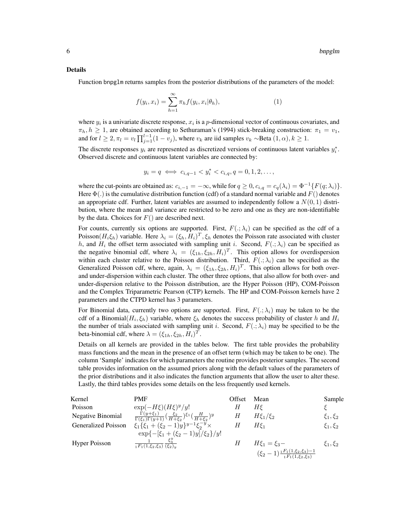#### Details

Function bnpglm returns samples from the posterior distributions of the parameters of the model:

$$
f(y_i, x_i) = \sum_{h=1}^{\infty} \pi_h f(y_i, x_i | \theta_h), \qquad (1)
$$

where  $y_i$  is a univariate discrete response,  $x_i$  is a p-dimensional vector of continuous covariates, and  $\pi_h, h \geq 1$ , are obtained according to Sethuraman's (1994) stick-breaking construction:  $\pi_1 = v_1$ , and for  $l \geq 2, \pi_l = v_l \prod_{j=1}^{l-1} (1 - v_j)$ , where  $v_k$  are iid samples  $v_k \sim$ Beta  $(1, \alpha)$ ,  $k \geq 1$ .

The discrete responses  $y_i$  are represented as discretized versions of continuous latent variables  $y_i^*$ . Observed discrete and continuous latent variables are connected by:

$$
y_i = q \iff c_{i,q-1} < y_i^* < c_{i,q}, q = 0, 1, 2, \dots
$$

where the cut-points are obtained as:  $c_{i,-1} = -\infty$ , while for  $q \ge 0$ ,  $c_{i,q} = c_q(\lambda_i) = \Phi^{-1}{F(q; \lambda_i)}$ . Here  $\Phi(.)$  is the cumulative distribution function (cdf) of a standard normal variable and  $F()$  denotes an appropriate cdf. Further, latent variables are assumed to independently follow a  $N(0, 1)$  distribution, where the mean and variance are restricted to be zero and one as they are non-identifiable by the data. Choices for  $F()$  are described next.

For counts, currently six options are supported. First,  $F(.; \lambda_i)$  can be specified as the cdf of a Poisson $(H_i \xi_h)$  variable. Here  $\lambda_i = (\xi_h, H_i)^T$ ,  $\xi_h$  denotes the Poisson rate associated with cluster h, and  $H_i$  the offset term associated with sampling unit i. Second,  $F(.; \lambda_i)$  can be specified as the negative binomial cdf, where  $\lambda_i = (\xi_{1h}, \xi_{2h}, H_i)^T$ . This option allows for overdispersion within each cluster relative to the Poisson distribution. Third,  $F(\cdot; \lambda_i)$  can be specified as the Generalized Poisson cdf, where, again,  $\lambda_i = (\xi_{1h}, \xi_{2h}, H_i)^T$ . This option allows for both overand under-dispersion within each cluster. The other three options, that also allow for both over- and under-dispersion relative to the Poisson distribution, are the Hyper Poisson (HP), COM-Poisson and the Complex Triparametric Pearson (CTP) kernels. The HP and COM-Poisson kernels have 2 parameters and the CTPD kernel has 3 parameters.

For Binomial data, currently two options are supported. First,  $F(:, \lambda_i)$  may be taken to be the cdf of a Binomial $(H_i, \xi_h)$  variable, where  $\xi_h$  denotes the success probability of cluster h and  $H_i$ the number of trials associated with sampling unit i. Second,  $F(.,\lambda_i)$  may be specified to be the beta-binomial cdf, where  $\lambda = (\xi_{1h}, \xi_{2h}, H_i)^T$ .

Details on all kernels are provided in the tables below. The first table provides the probability mass functions and the mean in the presence of an offset term (which may be taken to be one). The column 'Sample' indicates for which parameters the routine provides posterior samples. The second table provides information on the assumed priors along with the default values of the parameters of the prior distributions and it also indicates the function arguments that allow the user to alter these. Lastly, the third tables provides some details on the less frequently used kernels.

| Kernel                     | <b>PMF</b>                                                                                                                   | Offset | Mean                                                               | Sample         |
|----------------------------|------------------------------------------------------------------------------------------------------------------------------|--------|--------------------------------------------------------------------|----------------|
| Poisson                    | $\exp(-H\xi)(H\xi)^y/y!$                                                                                                     | H      | Нξ                                                                 |                |
| Negative Binomial          | $\frac{\Gamma(y+\xi_1)}{\Gamma(\xi_1)\Gamma(y+1)} \left(\frac{\xi_2}{H+\xi_2}\right) \xi_1 \left(\frac{H}{H+\xi_2}\right) y$ | Н      | $H\xi_1/\xi_2$                                                     | $\xi_1,\xi_2$  |
| <b>Generalized Poisson</b> | $\xi_1 \{\xi_1 + (\xi_2 - 1)y\}^{y-1} \xi_2^{-y} \times$                                                                     | H      | $H\xi_1$                                                           | $\xi_1,\xi_2$  |
|                            | $\exp\{-[\xi_1+(\xi_2-1)y]/\xi_2\}/y!$                                                                                       |        |                                                                    |                |
| <b>Hyper Poisson</b>       | $\frac{1}{1}F_1(1,\xi_2,\xi_3)\overline{(\xi_2)_y}$                                                                          | Н      | $H\xi_1 = \xi_3 -$                                                 | $\xi_1, \xi_2$ |
|                            |                                                                                                                              |        | $(\xi_2-1)\frac{{}_1F_1(1,\xi_2,\xi_3)-1}{{}_1F_1(1,\xi_2,\xi_3)}$ |                |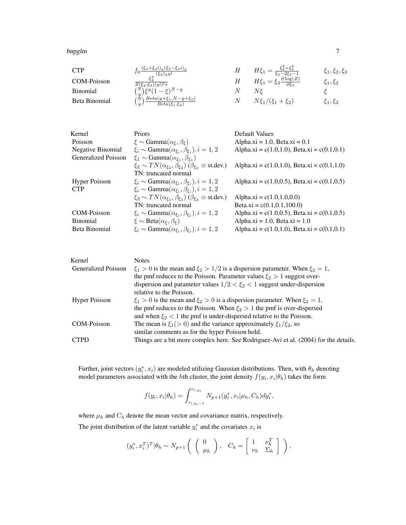| <b>CTP</b>      | • $\frac{(\xi_3+\xi_4i)_y(\xi_3-\xi_4i)_y}{(\xi_2)_y y!}$                              |   | $H\xi_1 = \frac{\xi_3^2 + \xi_4^2}{\xi_2 - 2\xi_3 - 1}$  | $\xi_1, \xi_2, \xi_3$ |
|-----------------|----------------------------------------------------------------------------------------|---|----------------------------------------------------------|-----------------------|
| COM-Poisson     | $Z(\xi_2,\xi_3)(y!)^{\xi_2}$                                                           | Н | $H\xi_1 = \xi_3 \frac{\partial \log(Z)}{\partial \xi_3}$ | $\xi_1,\xi_2$         |
| <b>Binomial</b> | $\binom{N}{y} \xi^y (1-\xi)^{N-y}$                                                     |   | N۶                                                       |                       |
| Beta Binomial   | $Be^{ta}(y+\xi_1, N-y+\xi_2)$<br>$\wedge N$<br>$Beta(\xi_1,\xi_2)$<br>$\boldsymbol{u}$ |   | $N\xi_1/(\xi_1+\xi_2)$                                   | $\xi_1,\xi_2$         |

| Kernel               | <b>Priors</b>                                                                    | <b>Default Values</b>                       |
|----------------------|----------------------------------------------------------------------------------|---------------------------------------------|
| Poisson              | $\xi \sim \text{Gamma}(\alpha_{\xi}, \beta_{\xi})$                               | Alpha.xi = 1.0, Beta.xi = $0.1$             |
| Negative Binomial    | $\xi_i \sim \text{Gamma}(\alpha_{\xi_i}, \beta_{\xi_i}), i = 1, 2$               | Alpha.xi = c(1.0,1.0), Beta.xi = c(0.1,0.1) |
| Generalized Poisson  | $\xi_1 \sim \text{Gamma}(\alpha_{\xi_1}, \beta_{\xi_1})$                         |                                             |
|                      | $\xi_2 \sim TN(\alpha_{\xi_2}, \beta_{\xi_2})$ ( $\beta_{\xi_2} \equiv$ st.dev.) | Alpha.xi = c(1.0,1.0), Beta.xi = c(0.1,1.0) |
|                      | TN: truncated normal                                                             |                                             |
| <b>Hyper Poisson</b> | $\xi_i \sim \text{Gamma}(\alpha_{\xi_i}, \beta_{\xi_i}), i = 1, 2$               | Alpha.xi = c(1.0,0.5), Beta.xi = c(0.1,0.5) |
| <b>CTP</b>           | $\xi_i \sim \text{Gamma}(\alpha_{\xi_i}, \beta_{\xi_i}), i = 1, 2$               |                                             |
|                      | $\xi_3 \sim TN(\alpha_{\xi_3}, \beta_{\xi_3})$ ( $\beta_{\xi_3} \equiv$ st.dev.) | Alpha.xi = $c(1.0, 1.0, 0.0)$               |
|                      | TN: truncated normal                                                             | Beta.xi = $c(0.1, 0.1, 100.0)$              |
| COM-Poisson          | $\xi_i \sim \text{Gamma}(\alpha_{\xi_i}, \beta_{\xi_i}), i = 1, 2$               | Alpha.xi = c(1.0,0.5), Beta.xi = c(0.1,0.5) |
| <b>Binomial</b>      | $\xi \sim \text{Beta}(\alpha_{\xi}, \beta_{\xi})$                                | Alpha.xi = $1.0$ , Beta.xi = $1.0$          |
| Beta Binomial        | $\xi_i \sim \text{Gamma}(\alpha_{\xi_i}, \beta_{\xi_i}), i = 1, 2$               | Alpha.xi = c(1.0,1.0), Beta.xi = c(0.1,0.1) |
|                      |                                                                                  |                                             |

| <b>Notes</b>                                                                            |
|-----------------------------------------------------------------------------------------|
| $\xi_1 > 0$ is the mean and $\xi_2 > 1/2$ is a dispersion parameter. When $\xi_2 = 1$ , |
| the pmf reduces to the Poisson. Parameter values $\xi_2 > 1$ suggest over-              |
| dispersion and parameter values $1/2 < \xi_2 < 1$ suggest under-dispersion              |
| relative to the Poisson.                                                                |
| $\xi_1 > 0$ is the mean and $\xi_2 > 0$ is a dispersion parameter. When $\xi_2 = 1$ ,   |
| the pmf reduces to the Poisson. When $\xi_2 > 1$ the pmf is over-dispersed              |
| and when $\xi_2$ < 1 the pmf is under-dispersed relative to the Poisson.                |
| The mean is $\xi_1$ (> 0) and the variance approximately $\xi_1/\xi_2$ , so             |
| similar comments as for the hyper Poisson hold.                                         |
| Things are a bit more complex here. See Rodriguez-Avi et al. (2004) for the details.    |
|                                                                                         |

Further, joint vectors  $(y_i^*, x_i)$  are modeled utilizing Gaussian distributions. Then, with  $\theta_h$  denoting model parameters associated with the *h*th cluster, the joint density  $f(y_i, x_i | \theta_h)$  takes the form

$$
f(y_i, x_i | \theta_h) = \int_{c_{i, y_i-1}}^{c_{i, y_i}} N_{p+1}(y_i^*, x_i | \mu_h, C_h) dy_i^*,
$$

where  $\mu_h$  and  $C_h$  denote the mean vector and covariance matrix, respectively. The joint distribution of the latent variable  $y_i^*$  and the covariates  $x_i$  is

$$
(y_i^*, x_i^T)^T |\theta_h \sim N_{p+1} \left( \begin{array}{c} 0 \\ \mu_h \end{array} \right), \quad C_h = \begin{bmatrix} 1 & \nu_h^T \\ \nu_h & \Sigma_h \end{bmatrix} \right),
$$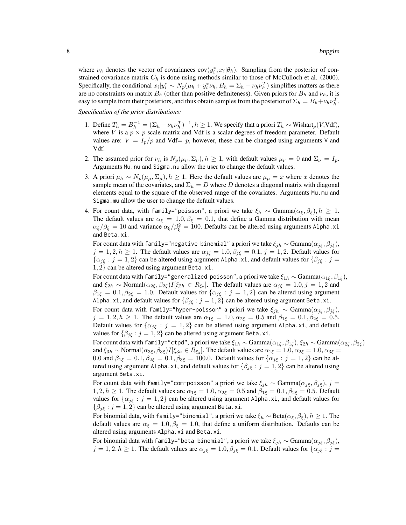where  $\nu_h$  denotes the vector of covariances  $cov(y_i^*, x_i | \theta_h)$ . Sampling from the posterior of constrained covariance matrix  $C_h$  is done using methods similar to those of McCulloch et al. (2000). Specifically, the conditional  $x_i|y_i^* \sim N_p(\mu_h + y_i^* \nu_h, B_h = \Sigma_h - \nu_h \nu_h^T)$  simplifies matters as there are no constraints on matrix  $B_h$  (other than positive definiteness). Given priors for  $B_h$  and  $\nu_h$ , it is easy to sample from their posteriors, and thus obtain samples from the posterior of  $\Sigma_h = B_h + \nu_h \nu_h^T$ .

*Specification of the prior distributions:*

- 1. Define  $T_h = B_h^{-1} = (\Sigma_h \nu_h \nu_h^T)^{-1}, h \ge 1$ . We specify that a priori  $T_h \sim \text{Wishart}_p(V, \text{Vdf})$ , where V is a  $p \times p$  scale matrix and Vdf is a scalar degrees of freedom parameter. Default values are:  $V = I_p/p$  and Vdf= p, however, these can be changed using arguments V and Vdf.
- 2. The assumed prior for  $\nu_h$  is  $N_p(\mu_v, \Sigma_v)$ ,  $h \geq 1$ , with default values  $\mu_v = 0$  and  $\Sigma_v = I_p$ . Arguments Mu.nu and Sigma.nu allow the user to change the default values.
- 3. A priori  $\mu_h \sim N_p(\mu_\mu, \Sigma_\mu), h \ge 1$ . Here the default values are  $\mu_\mu = \bar{x}$  where  $\bar{x}$  denotes the sample mean of the covariates, and  $\Sigma_{\mu} = D$  where D denotes a diagonal matrix with diagonal elements equal to the square of the observed range of the covariates. Arguments Mu.mu and Sigma.mu allow the user to change the default values.
- 4. For count data, with family="poisson", a priori we take  $\xi_h \sim \text{Gamma}(\alpha_{\xi}, \beta_{\xi}), h \geq 1$ . The default values are  $\alpha_{\xi} = 1.0, \beta_{\xi} = 0.1$ , that define a Gamma distribution with mean  $\alpha_{\xi}/\beta_{\xi} = 10$  and variance  $\alpha_{\xi}/\beta_{\xi}^2 = 100$ . Defaults can be altered using arguments Alpha.xi and Beta.xi.

For count data with family="negative binomial" a priori we take  $\xi_{jh} \sim \text{Gamma}(\alpha_{j\xi}, \beta_{j\xi}),$  $j = 1, 2, h \ge 1$ . The default values are  $\alpha_{j\xi} = 1.0, \beta_{j\xi} = 0.1, j = 1, 2$ . Default values for  $\{\alpha_{i\xi} : j = 1, 2\}$  can be altered using argument Alpha.xi, and default values for  $\{\beta_{i\xi} : j = 1\}$ 1, 2} can be altered using argument Beta.xi.

For count data with family="generalized poisson", a priori we take  $\xi_{1h} \sim \text{Gamma}(\alpha_{1\xi}, \beta_{1\xi})$ , and  $\xi_{2h} \sim \text{Normal}(\alpha_{2\xi}, \beta_{2\xi}) I[\xi_{2h} \in R_{\xi_2}]$ . The default values are  $\alpha_{j\xi} = 1.0, j = 1, 2$  and  $\beta_{1\xi} = 0.1, \beta_{2\xi} = 1.0$ . Default values for  $\{\alpha_{j\xi} : j = 1, 2\}$  can be altered using argument Alpha.xi, and default values for  $\{\beta_{j\xi} : j = 1, 2\}$  can be altered using argument Beta.xi.

For count data with family="hyper-poisson" a priori we take  $\xi_{jh} \sim \text{Gamma}(\alpha_{j\xi}, \beta_{j\xi}),$  $j = 1, 2, h \ge 1$ . The default values are  $\alpha_{1\xi} = 1.0, \alpha_{2\xi} = 0.5$  and  $\beta_{1\xi} = 0.1, \beta_{2\xi} = 0.5$ . Default values for  $\{\alpha_{j\xi} : j = 1, 2\}$  can be altered using argument Alpha.xi, and default values for  $\{\beta_{j\xi} : j = 1, 2\}$  can be altered using argument Beta.xi.

For count data with family="ctpd", a priori we take  $\xi_{1h} \sim \text{Gamma}(\alpha_{1\xi}, \beta_{1\xi}), \xi_{2h} \sim \text{Gamma}(\alpha_{2\xi}, \beta_{2\xi})$ and  $\xi_{3h} \sim \text{Normal}(\alpha_{3\xi}, \beta_{3\xi}) I[\xi_{3h} \in R_{\xi_3}]$ . The default values are  $\alpha_{1\xi} = 1.0, \alpha_{2\xi} = 1.0, \alpha_{3\xi} = 1.0$ 0.0 and  $\beta_{1\xi} = 0.1, \beta_{2\xi} = 0.1, \beta_{3\xi} = 100.0$ . Default values for  $\{\alpha_{j\xi} : j = 1, 2\}$  can be altered using argument Alpha.xi, and default values for  $\{\beta_{j\xi} : j = 1, 2\}$  can be altered using argument Beta.xi.

For count data with family="com-poisson" a priori we take  $\xi_{jh} \sim \text{Gamma}(\alpha_{j\xi}, \beta_{j\xi}), j =$  $1, 2, h \geq 1$ . The default values are  $\alpha_{1\xi} = 1.0$ ,  $\alpha_{2\xi} = 0.5$  and  $\beta_{1\xi} = 0.1$ ,  $\beta_{2\xi} = 0.5$ . Default values for  $\{\alpha_{j\xi} : j = 1, 2\}$  can be altered using argument Alpha.xi, and default values for  $\{\beta_{j\xi} : j = 1, 2\}$  can be altered using argument Beta.xi.

For binomial data, with family="binomial", a priori we take  $\xi_h \sim \text{Beta}(\alpha_{\xi}, \beta_{\xi}), h \ge 1$ . The default values are  $\alpha_{\xi} = 1.0, \beta_{\xi} = 1.0$ , that define a uniform distribution. Defaults can be altered using arguments Alpha.xi and Beta.xi.

For binomial data with family="beta binomial", a priori we take  $\xi_{jh} \sim \text{Gamma}(\alpha_{j\xi}, \beta_{j\xi}),$  $j = 1, 2, h \ge 1$ . The default values are  $\alpha_{j\xi} = 1.0, \beta_{j\xi} = 0.1$ . Default values for  $\{\alpha_{j\xi} : j = 1\}$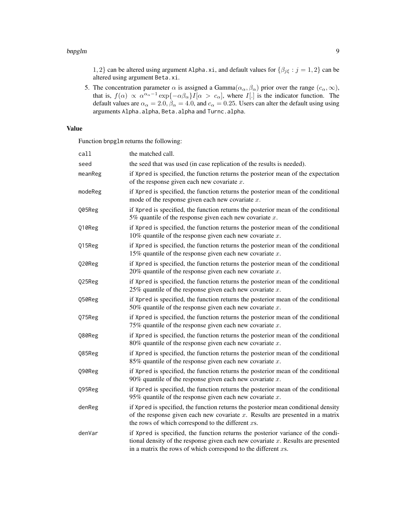1, 2} can be altered using argument Alpha.xi, and default values for  $\{\beta_{j\xi} : j = 1, 2\}$  can be altered using argument Beta.xi.

5. The concentration parameter  $\alpha$  is assigned a Gamma $(\alpha_{\alpha}, \beta_{\alpha})$  prior over the range  $(c_{\alpha}, \infty)$ , that is,  $f(\alpha) \propto \alpha^{\alpha_{\alpha}-1} \exp\{-\alpha \beta_{\alpha}\} I[\alpha > c_{\alpha}]$ , where  $I[\cdot]$  is the indicator function. The default values are  $\alpha_{\alpha} = 2.0$ ,  $\beta_{\alpha} = 4.0$ , and  $c_{\alpha} = 0.25$ . Users can alter the default using using arguments Alpha.alpha, Beta.alpha and Turnc.alpha.

#### Value

Function bnpglm returns the following:

| call    | the matched call.                                                                                                                                                                                                                           |
|---------|---------------------------------------------------------------------------------------------------------------------------------------------------------------------------------------------------------------------------------------------|
| seed    | the seed that was used (in case replication of the results is needed).                                                                                                                                                                      |
| meanReg | if Xpred is specified, the function returns the posterior mean of the expectation<br>of the response given each new covariate $x$ .                                                                                                         |
| modeReg | if Xpred is specified, the function returns the posterior mean of the conditional<br>mode of the response given each new covariate $x$ .                                                                                                    |
| Q05Reg  | if Xpred is specified, the function returns the posterior mean of the conditional<br>5% quantile of the response given each new covariate $x$ .                                                                                             |
| Q10Reg  | if Xpred is specified, the function returns the posterior mean of the conditional<br>10% quantile of the response given each new covariate $x$ .                                                                                            |
| Q15Reg  | if Xpred is specified, the function returns the posterior mean of the conditional<br>15% quantile of the response given each new covariate $x$ .                                                                                            |
| Q20Reg  | if Xpred is specified, the function returns the posterior mean of the conditional<br>20% quantile of the response given each new covariate $x$ .                                                                                            |
| Q25Reg  | if Xpred is specified, the function returns the posterior mean of the conditional<br>25% quantile of the response given each new covariate $x$ .                                                                                            |
| Q50Reg  | if Xpred is specified, the function returns the posterior mean of the conditional<br>50% quantile of the response given each new covariate $x$ .                                                                                            |
| Q75Reg  | if Xpred is specified, the function returns the posterior mean of the conditional<br>75% quantile of the response given each new covariate $x$ .                                                                                            |
| Q80Reg  | if Xpred is specified, the function returns the posterior mean of the conditional<br>80% quantile of the response given each new covariate $x$ .                                                                                            |
| Q85Reg  | if Xpred is specified, the function returns the posterior mean of the conditional<br>85% quantile of the response given each new covariate $x$ .                                                                                            |
| Q90Reg  | if Xpred is specified, the function returns the posterior mean of the conditional<br>90% quantile of the response given each new covariate $x$ .                                                                                            |
| Q95Reg  | if Xpred is specified, the function returns the posterior mean of the conditional<br>95% quantile of the response given each new covariate $x$ .                                                                                            |
| denReg  | if Xpred is specified, the function returns the posterior mean conditional density<br>of the response given each new covariate $x$ . Results are presented in a matrix<br>the rows of which correspond to the different $xs$ .              |
| denVar  | if Xpred is specified, the function returns the posterior variance of the condi-<br>tional density of the response given each new covariate $x$ . Results are presented<br>in a matrix the rows of which correspond to the different $xs$ . |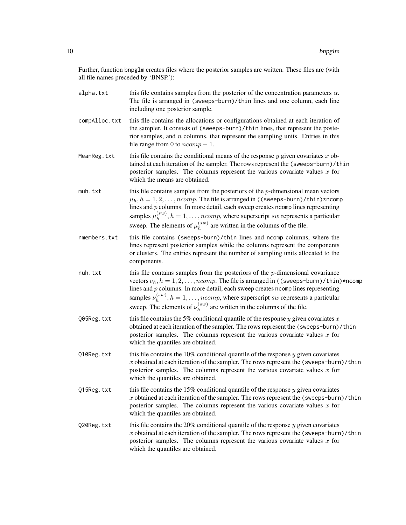Further, function bnpglm creates files where the posterior samples are written. These files are (with all file names preceded by 'BNSP.'):

- alpha.txt this file contains samples from the posterior of the concentration parameters  $\alpha$ . The file is arranged in (sweeps-burn)/thin lines and one column, each line including one posterior sample. compAlloc.txt this file contains the allocations or configurations obtained at each iteration of the sampler. It consists of (sweeps-burn)/thin lines, that represent the posterior samples, and  $n$  columns, that represent the sampling units. Entries in this file range from 0 to  $ncomp - 1$ .
- MeanReg.txt this file contains the conditional means of the response y given covariates x obtained at each iteration of the sampler. The rows represent the (sweeps-burn)/thin posterior samples. The columns represent the various covariate values  $x$  for which the means are obtained.
- muh.txt this file contains samples from the posteriors of the  $p$ -dimensional mean vectors  $\mu_h$ ,  $h = 1, 2, \ldots$ , *ncomp*. The file is arranged in ((sweeps-burn)/thin)\*ncomp lines and p columns. In more detail, each sweep creates ncomp lines representing samples  $\mu_h^{(sw)}$  $h_h^{(sw)}$ ,  $h = 1, \ldots, ncomp$ , where superscript sw represents a particular sweep. The elements of  $\mu_h^{(sw)}$  $h_h^{(sw)}$  are written in the columns of the file.
- nmembers.txt this file contains (sweeps-burn)/thin lines and ncomp columns, where the lines represent posterior samples while the columns represent the components or clusters. The entries represent the number of sampling units allocated to the components.
- nuh.txt this file contains samples from the posteriors of the  $p$ -dimensional covariance vectors  $\nu_h$ ,  $h = 1, 2, \ldots, ncomp$ . The file is arranged in ((sweeps-burn)/thin)\*ncomp lines and  $p$  columns. In more detail, each sweep creates ncomp lines representing samples  $\nu_h^{(sw)}$  $h_h^{(sw)}$ ,  $h = 1, \ldots, ncomp$ , where superscript sw represents a particular sweep. The elements of  $\nu_h^{(sw)}$  $h^{(sw)}$  are written in the columns of the file.
- Q05Reg.txt this file contains the 5% conditional quantile of the response y given covariates x obtained at each iteration of the sampler. The rows represent the (sweeps-burn)/thin posterior samples. The columns represent the various covariate values  $x$  for which the quantiles are obtained.
- Q10Reg.txt this file contains the 10% conditional quantile of the response y given covariates  $x$  obtained at each iteration of the sampler. The rows represent the (sweeps-burn)/thin posterior samples. The columns represent the various covariate values  $x$  for which the quantiles are obtained.
- Q15Reg.txt this file contains the 15% conditional quantile of the response y given covariates  $x$  obtained at each iteration of the sampler. The rows represent the (sweeps-burn)/thin posterior samples. The columns represent the various covariate values  $x$  for which the quantiles are obtained.
- 020Reg.txt this file contains the 20% conditional quantile of the response  $\gamma$  given covariates  $x$  obtained at each iteration of the sampler. The rows represent the (sweeps-burn)/thin posterior samples. The columns represent the various covariate values  $x$  for which the quantiles are obtained.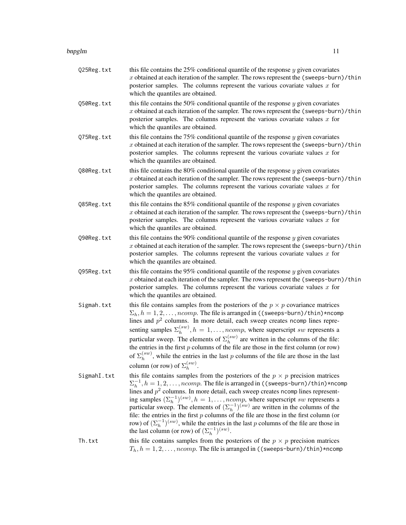| Q25Reg.txt  | this file contains the $25\%$ conditional quantile of the response y given covariates<br>$x$ obtained at each iteration of the sampler. The rows represent the (sweeps-burn)/thin<br>posterior samples. The columns represent the various covariate values $x$ for<br>which the quantiles are obtained.                                                                                                                                                                                                                                                                                                                                                                                                                              |
|-------------|--------------------------------------------------------------------------------------------------------------------------------------------------------------------------------------------------------------------------------------------------------------------------------------------------------------------------------------------------------------------------------------------------------------------------------------------------------------------------------------------------------------------------------------------------------------------------------------------------------------------------------------------------------------------------------------------------------------------------------------|
| Q50Reg.txt  | this file contains the 50% conditional quantile of the response $y$ given covariates<br>$x$ obtained at each iteration of the sampler. The rows represent the (sweeps-burn)/thin<br>posterior samples. The columns represent the various covariate values $x$ for<br>which the quantiles are obtained.                                                                                                                                                                                                                                                                                                                                                                                                                               |
| Q75Reg.txt  | this file contains the $75\%$ conditional quantile of the response y given covariates<br>$x$ obtained at each iteration of the sampler. The rows represent the (sweeps-burn)/thin<br>posterior samples. The columns represent the various covariate values $x$ for<br>which the quantiles are obtained.                                                                                                                                                                                                                                                                                                                                                                                                                              |
| Q80Reg.txt  | this file contains the $80\%$ conditional quantile of the response y given covariates<br>$x$ obtained at each iteration of the sampler. The rows represent the (sweeps-burn)/thin<br>posterior samples. The columns represent the various covariate values $x$ for<br>which the quantiles are obtained.                                                                                                                                                                                                                                                                                                                                                                                                                              |
| Q85Reg.txt  | this file contains the $85\%$ conditional quantile of the response y given covariates<br>$x$ obtained at each iteration of the sampler. The rows represent the (sweeps-burn)/thin<br>posterior samples. The columns represent the various covariate values $x$ for<br>which the quantiles are obtained.                                                                                                                                                                                                                                                                                                                                                                                                                              |
| Q90Reg.txt  | this file contains the $90\%$ conditional quantile of the response $y$ given covariates<br>$x$ obtained at each iteration of the sampler. The rows represent the (sweeps-burn)/thin<br>posterior samples. The columns represent the various covariate values $x$ for<br>which the quantiles are obtained.                                                                                                                                                                                                                                                                                                                                                                                                                            |
| Q95Reg.txt  | this file contains the 95% conditional quantile of the response $y$ given covariates<br>$x$ obtained at each iteration of the sampler. The rows represent the (sweeps-burn)/thin<br>posterior samples. The columns represent the various covariate values $x$ for<br>which the quantiles are obtained.                                                                                                                                                                                                                                                                                                                                                                                                                               |
| Sigmah.txt  | this file contains samples from the posteriors of the $p \times p$ covariance matrices<br>$\Sigma_h$ , $h = 1, 2, \ldots$ , <i>ncomp</i> . The file is arranged in ((sweeps-burn)/thin)*ncomp<br>lines and $p2$ columns. In more detail, each sweep creates noomp lines repre-<br>senting samples $\Sigma_h^{(sw)}$ , $h = 1, , ncomp$ , where superscript sw represents a<br>particular sweep. The elements of $\Sigma_h^{(sw)}$ are written in the columns of the file:<br>the entries in the first $p$ columns of the file are those in the first column (or row)<br>of $\Sigma_h^{(sw)}$ , while the entries in the last p columns of the file are those in the last<br>column (or row) of $\Sigma_h^{(sw)}$ .                   |
| SigmahI.txt | this file contains samples from the posteriors of the $p \times p$ precision matrices<br>$\Sigma_h^{-1}, h = 1, 2, \ldots, ncomp$ . The file is arranged in ((sweeps-burn)/thin)*ncomp<br>lines and $p2$ columns. In more detail, each sweep creates noomp lines represent-<br>ing samples $(\Sigma_h^{-1})^{(sw)}$ , $h = 1, , ncomp$ , where superscript sw represents a particular sweep. The elements of $(\Sigma_h^{-1})^{(sw)}$ are written in the columns of the<br>file: the entries in the first $p$ columns of the file are those in the first column (or<br>row) of $(\Sigma_h^{-1})^{(sw)}$ , while the entries in the last p columns of the file are those in<br>the last column (or row) of $(\Sigma_h^{-1})^{(sw)}$ . |
| Th.txt      | this file contains samples from the posteriors of the $p \times p$ precision matrices<br>$T_h, h = 1, 2, \ldots, ncomp$ . The file is arranged in ((sweeps-burn)/thin)*ncomp                                                                                                                                                                                                                                                                                                                                                                                                                                                                                                                                                         |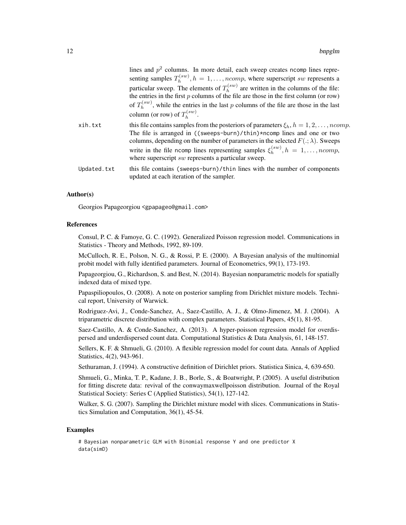|             | lines and $p2$ columns. In more detail, each sweep creates ncomp lines repre-                                                                                                                                                                                                                                                                                                                                                             |
|-------------|-------------------------------------------------------------------------------------------------------------------------------------------------------------------------------------------------------------------------------------------------------------------------------------------------------------------------------------------------------------------------------------------------------------------------------------------|
|             | senting samples $T_h^{(sw)}$ , $h = 1, \ldots, ncomp$ , where superscript sw represents a                                                                                                                                                                                                                                                                                                                                                 |
|             | particular sweep. The elements of $T_b^{(sw)}$ are written in the columns of the file:<br>the entries in the first $p$ columns of the file are those in the first column (or row)<br>of $T_h^{(sw)}$ , while the entries in the last p columns of the file are those in the last<br>column (or row) of $T_k^{(sw)}$ .                                                                                                                     |
| xih.txt     | this file contains samples from the posteriors of parameters $\xi_h$ , $h = 1, 2, \dots, ncomp$ .<br>The file is arranged in $((\text{sweeps-burn})/\text{thin})$ *ncomp lines and one or two<br>columns, depending on the number of parameters in the selected $F(.; \lambda)$ . Sweeps<br>write in the file ncomp lines representing samples $\xi_h^{(sw)}$ , $h = 1, , ncomp$ ,<br>where superscript sw represents a particular sweep. |
| Updated.txt | this file contains (sweeps-burn)/thin lines with the number of components<br>updated at each iteration of the sampler.                                                                                                                                                                                                                                                                                                                    |

#### Author(s)

Georgios Papageorgiou <gpapageo@gmail.com>

#### References

Consul, P. C. & Famoye, G. C. (1992). Generalized Poisson regression model. Communications in Statistics - Theory and Methods, 1992, 89-109.

McCulloch, R. E., Polson, N. G., & Rossi, P. E. (2000). A Bayesian analysis of the multinomial probit model with fully identified parameters. Journal of Econometrics, 99(1), 173-193.

Papageorgiou, G., Richardson, S. and Best, N. (2014). Bayesian nonparametric models for spatially indexed data of mixed type.

Papaspiliopoulos, O. (2008). A note on posterior sampling from Dirichlet mixture models. Technical report, University of Warwick.

Rodriguez-Avi, J., Conde-Sanchez, A., Saez-Castillo, A. J., & Olmo-Jimenez, M. J. (2004). A triparametric discrete distribution with complex parameters. Statistical Papers, 45(1), 81-95.

Saez-Castillo, A. & Conde-Sanchez, A. (2013). A hyper-poisson regression model for overdispersed and underdispersed count data. Computational Statistics & Data Analysis, 61, 148-157.

Sellers, K. F. & Shmueli, G. (2010). A flexible regression model for count data. Annals of Applied Statistics, 4(2), 943-961.

Sethuraman, J. (1994). A constructive definition of Dirichlet priors. Statistica Sinica, 4, 639-650.

Shmueli, G., Minka, T. P., Kadane, J. B., Borle, S., & Boatwright, P. (2005). A useful distribution for fitting discrete data: revival of the conwaymaxwellpoisson distribution. Journal of the Royal Statistical Society: Series C (Applied Statistics), 54(1), 127-142.

Walker, S. G. (2007). Sampling the Dirichlet mixture model with slices. Communications in Statistics Simulation and Computation, 36(1), 45-54.

#### Examples

# Bayesian nonparametric GLM with Binomial response Y and one predictor X data(simD)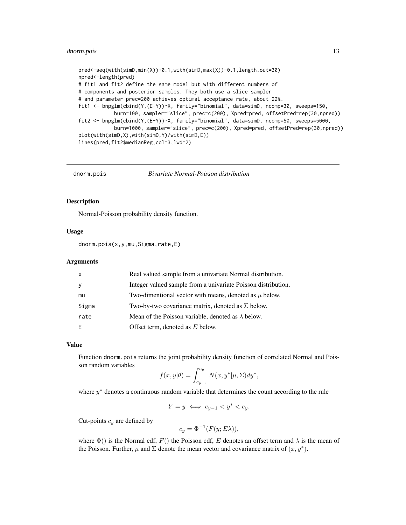#### <span id="page-12-0"></span>dnorm.pois 13

```
pred<-seq(with(simD,min(X))+0.1,with(simD,max(X))-0.1,length.out=30)
npred<-length(pred)
# fit1 and fit2 define the same model but with different numbers of
# components and posterior samples. They both use a slice sampler
# and parameter prec=200 achieves optimal acceptance rate, about 22%.
fit1 <- bnpglm(cbind(Y,(E-Y))~X, family="binomial", data=simD, ncomp=30, sweeps=150,
            burn=100, sampler="slice", prec=c(200), Xpred=pred, offsetPred=rep(30,npred))
fit2 <- bnpglm(cbind(Y,(E-Y))~X, family="binomial", data=simD, ncomp=50, sweeps=5000,
            burn=1000, sampler="slice", prec=c(200), Xpred=pred, offsetPred=rep(30,npred))
plot(with(simD,X),with(simD,Y)/with(simD,E))
lines(pred,fit2$medianReg,col=3,lwd=2)
```
dnorm.pois *Bivariate Normal-Poisson distribution*

#### **Description**

Normal-Poisson probability density function.

#### Usage

dnorm.pois(x,y,mu,Sigma,rate,E)

#### Arguments

| X        | Real valued sample from a univariate Normal distribution.     |
|----------|---------------------------------------------------------------|
| <b>y</b> | Integer valued sample from a univariate Poisson distribution. |
| mu       | Two-dimentional vector with means, denoted as $\mu$ below.    |
| Sigma    | Two-by-two covariance matrix, denoted as $\Sigma$ below.      |
| rate     | Mean of the Poisson variable, denoted as $\lambda$ below.     |
| F        | Offset term, denoted as $E$ below.                            |

#### Value

Function dnorm.pois returns the joint probability density function of correlated Normal and Poisson random variables

$$
f(x,y|\theta) = \int_{c_{y-1}}^{c_y} N(x,y^*|\mu,\Sigma) dy^*,
$$

where  $y^*$  denotes a continuous random variable that determines the count according to the rule

$$
Y = y \iff c_{y-1} < y^* < c_y.
$$

Cut-points  $c_y$  are defined by

$$
c_y = \Phi^{-1}(F(y; E\lambda)),
$$

where  $\Phi()$  is the Normal cdf, F() the Poisson cdf, E denotes an offset term and  $\lambda$  is the mean of the Poisson. Further,  $\mu$  and  $\Sigma$  denote the mean vector and covariance matrix of  $(x, y^*)$ .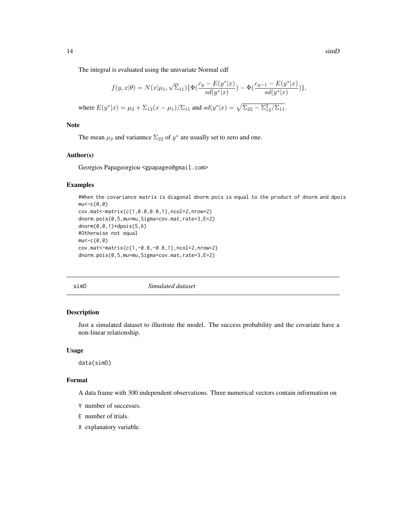<span id="page-13-0"></span>14 simD

The integral is evaluated using the univariate Normal cdf

$$
f(y,x|\theta) = N(x|\mu_1, \sqrt{\Sigma}_{11}) \{ \Phi(\frac{c_y - E(y^*|x)}{sd(y^*|x)}) - \Phi(\frac{c_{y-1} - E(y^*|x)}{sd(y^*|x)}) \},\
$$

where 
$$
E(y^*|x) = \mu_2 + \Sigma_{12}(x - \mu_1)/\Sigma_{11}
$$
 and  $sd(y^*|x) = \sqrt{\Sigma_{22} - \Sigma_{12}^2/\Sigma_{11}}$ .

#### Note

The mean  $\mu_2$  and variannce  $\Sigma_{22}$  of  $y^*$  are usually set to zero and one.

#### Author(s)

Georgios Papageorgiou <gpapageo@gmail.com>

#### Examples

```
#When the covariance matrix is diagonal dnorm.pois is equal to the product of dnorm and dpois
mu < -c(0, 0)cov.mat<-matrix(c(1,0.0,0.0,1),ncol=2,nrow=2)
dnorm.pois(0,5,mu=mu,Sigma=cov.mat,rate=3,E=2)
dnorm(0, 0, 1)*dpois(5, 6)#Otherwise not equal
mu < -c(0, 0)cov.mat<-matrix(c(1,-0.8,-0.8,1),ncol=2,nrow=2)
dnorm.pois(0,5,mu=mu,Sigma=cov.mat,rate=3,E=2)
```
simD *Simulated dataset*

#### Description

Just a simulated dataset to illustrate the model. The success probability and the covariate have a non-linear relationship.

#### Usage

data(simD)

#### Format

A data frame with 300 independent observations. Three numerical vectors contain information on

- Y number of successes.
- E number of trials.
- X explanatory variable.